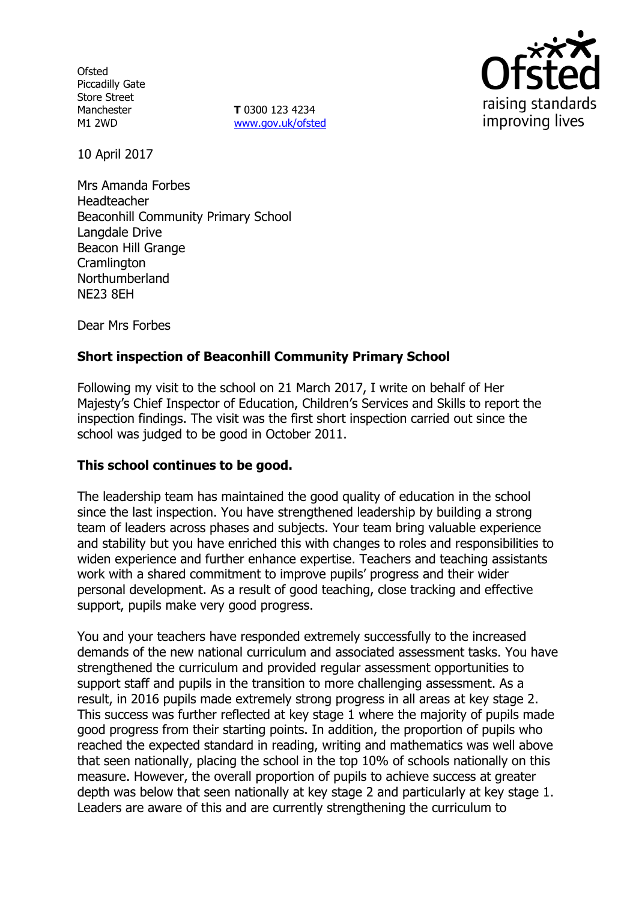**Ofsted** Piccadilly Gate Store Street Manchester M1 2WD

**T** 0300 123 4234 www.gov.uk/ofsted



10 April 2017

Mrs Amanda Forbes Headteacher Beaconhill Community Primary School Langdale Drive Beacon Hill Grange **Cramlington** Northumberland NE23 8EH

Dear Mrs Forbes

# **Short inspection of Beaconhill Community Primary School**

Following my visit to the school on 21 March 2017, I write on behalf of Her Majesty's Chief Inspector of Education, Children's Services and Skills to report the inspection findings. The visit was the first short inspection carried out since the school was judged to be good in October 2011.

## **This school continues to be good.**

The leadership team has maintained the good quality of education in the school since the last inspection. You have strengthened leadership by building a strong team of leaders across phases and subjects. Your team bring valuable experience and stability but you have enriched this with changes to roles and responsibilities to widen experience and further enhance expertise. Teachers and teaching assistants work with a shared commitment to improve pupils' progress and their wider personal development. As a result of good teaching, close tracking and effective support, pupils make very good progress.

You and your teachers have responded extremely successfully to the increased demands of the new national curriculum and associated assessment tasks. You have strengthened the curriculum and provided regular assessment opportunities to support staff and pupils in the transition to more challenging assessment. As a result, in 2016 pupils made extremely strong progress in all areas at key stage 2. This success was further reflected at key stage 1 where the majority of pupils made good progress from their starting points. In addition, the proportion of pupils who reached the expected standard in reading, writing and mathematics was well above that seen nationally, placing the school in the top 10% of schools nationally on this measure. However, the overall proportion of pupils to achieve success at greater depth was below that seen nationally at key stage 2 and particularly at key stage 1. Leaders are aware of this and are currently strengthening the curriculum to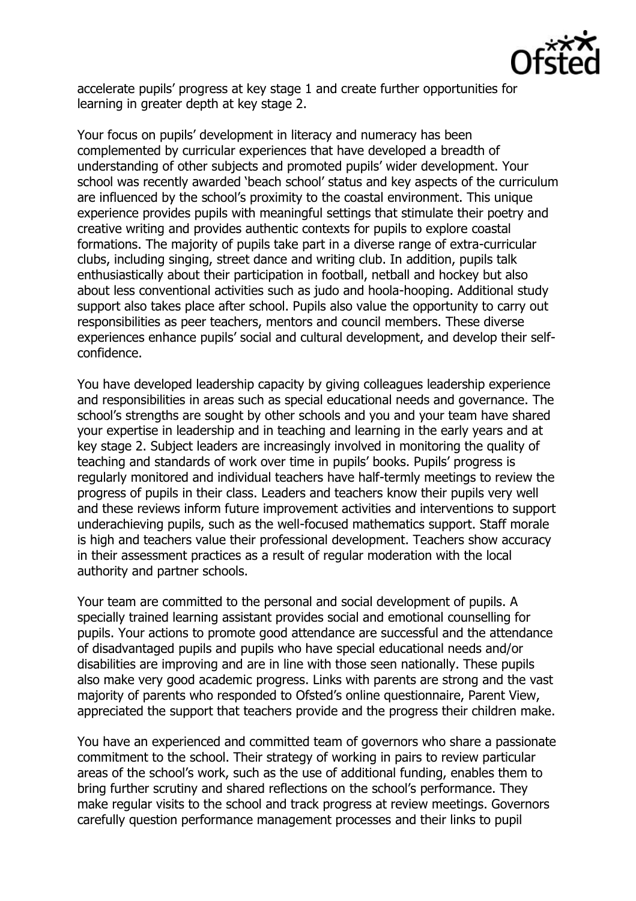

accelerate pupils' progress at key stage 1 and create further opportunities for learning in greater depth at key stage 2.

Your focus on pupils' development in literacy and numeracy has been complemented by curricular experiences that have developed a breadth of understanding of other subjects and promoted pupils' wider development. Your school was recently awarded 'beach school' status and key aspects of the curriculum are influenced by the school's proximity to the coastal environment. This unique experience provides pupils with meaningful settings that stimulate their poetry and creative writing and provides authentic contexts for pupils to explore coastal formations. The majority of pupils take part in a diverse range of extra-curricular clubs, including singing, street dance and writing club. In addition, pupils talk enthusiastically about their participation in football, netball and hockey but also about less conventional activities such as judo and hoola-hooping. Additional study support also takes place after school. Pupils also value the opportunity to carry out responsibilities as peer teachers, mentors and council members. These diverse experiences enhance pupils' social and cultural development, and develop their selfconfidence.

You have developed leadership capacity by giving colleagues leadership experience and responsibilities in areas such as special educational needs and governance. The school's strengths are sought by other schools and you and your team have shared your expertise in leadership and in teaching and learning in the early years and at key stage 2. Subject leaders are increasingly involved in monitoring the quality of teaching and standards of work over time in pupils' books. Pupils' progress is regularly monitored and individual teachers have half-termly meetings to review the progress of pupils in their class. Leaders and teachers know their pupils very well and these reviews inform future improvement activities and interventions to support underachieving pupils, such as the well-focused mathematics support. Staff morale is high and teachers value their professional development. Teachers show accuracy in their assessment practices as a result of regular moderation with the local authority and partner schools.

Your team are committed to the personal and social development of pupils. A specially trained learning assistant provides social and emotional counselling for pupils. Your actions to promote good attendance are successful and the attendance of disadvantaged pupils and pupils who have special educational needs and/or disabilities are improving and are in line with those seen nationally. These pupils also make very good academic progress. Links with parents are strong and the vast majority of parents who responded to Ofsted's online questionnaire, Parent View, appreciated the support that teachers provide and the progress their children make.

You have an experienced and committed team of governors who share a passionate commitment to the school. Their strategy of working in pairs to review particular areas of the school's work, such as the use of additional funding, enables them to bring further scrutiny and shared reflections on the school's performance. They make regular visits to the school and track progress at review meetings. Governors carefully question performance management processes and their links to pupil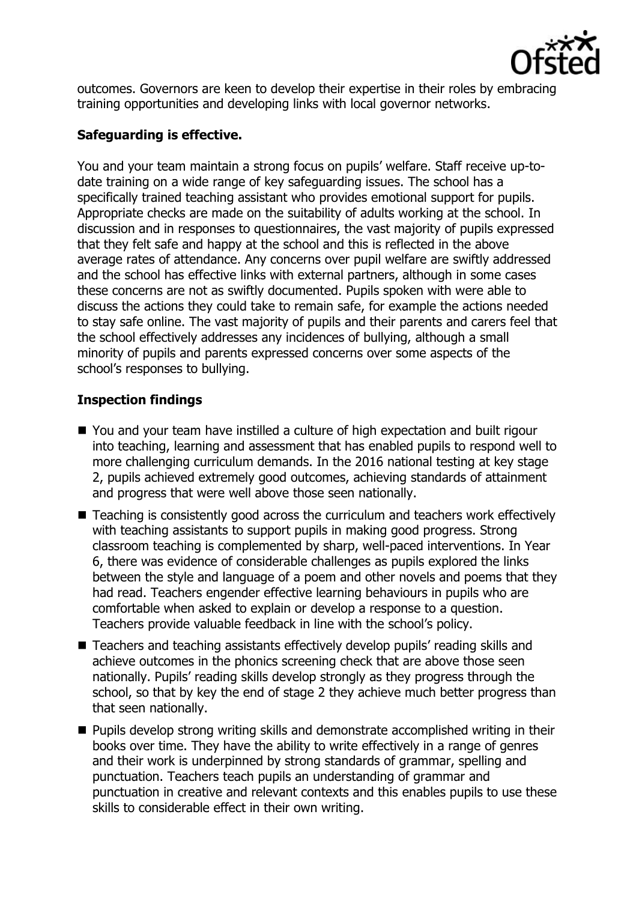

outcomes. Governors are keen to develop their expertise in their roles by embracing training opportunities and developing links with local governor networks.

# **Safeguarding is effective.**

You and your team maintain a strong focus on pupils' welfare. Staff receive up-todate training on a wide range of key safeguarding issues. The school has a specifically trained teaching assistant who provides emotional support for pupils. Appropriate checks are made on the suitability of adults working at the school. In discussion and in responses to questionnaires, the vast majority of pupils expressed that they felt safe and happy at the school and this is reflected in the above average rates of attendance. Any concerns over pupil welfare are swiftly addressed and the school has effective links with external partners, although in some cases these concerns are not as swiftly documented. Pupils spoken with were able to discuss the actions they could take to remain safe, for example the actions needed to stay safe online. The vast majority of pupils and their parents and carers feel that the school effectively addresses any incidences of bullying, although a small minority of pupils and parents expressed concerns over some aspects of the school's responses to bullying.

## **Inspection findings**

- You and your team have instilled a culture of high expectation and built rigour into teaching, learning and assessment that has enabled pupils to respond well to more challenging curriculum demands. In the 2016 national testing at key stage 2, pupils achieved extremely good outcomes, achieving standards of attainment and progress that were well above those seen nationally.
- Teaching is consistently good across the curriculum and teachers work effectively with teaching assistants to support pupils in making good progress. Strong classroom teaching is complemented by sharp, well-paced interventions. In Year 6, there was evidence of considerable challenges as pupils explored the links between the style and language of a poem and other novels and poems that they had read. Teachers engender effective learning behaviours in pupils who are comfortable when asked to explain or develop a response to a question. Teachers provide valuable feedback in line with the school's policy.
- Teachers and teaching assistants effectively develop pupils' reading skills and achieve outcomes in the phonics screening check that are above those seen nationally. Pupils' reading skills develop strongly as they progress through the school, so that by key the end of stage 2 they achieve much better progress than that seen nationally.
- **Pupils develop strong writing skills and demonstrate accomplished writing in their** books over time. They have the ability to write effectively in a range of genres and their work is underpinned by strong standards of grammar, spelling and punctuation. Teachers teach pupils an understanding of grammar and punctuation in creative and relevant contexts and this enables pupils to use these skills to considerable effect in their own writing.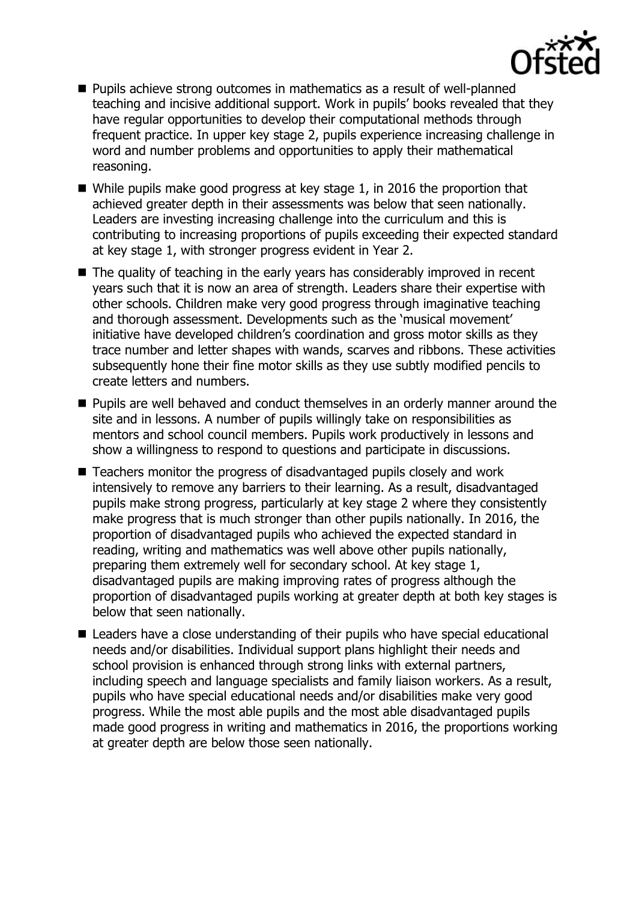

- Pupils achieve strong outcomes in mathematics as a result of well-planned teaching and incisive additional support. Work in pupils' books revealed that they have regular opportunities to develop their computational methods through frequent practice. In upper key stage 2, pupils experience increasing challenge in word and number problems and opportunities to apply their mathematical reasoning.
- While pupils make good progress at key stage 1, in 2016 the proportion that achieved greater depth in their assessments was below that seen nationally. Leaders are investing increasing challenge into the curriculum and this is contributing to increasing proportions of pupils exceeding their expected standard at key stage 1, with stronger progress evident in Year 2.
- The quality of teaching in the early years has considerably improved in recent years such that it is now an area of strength. Leaders share their expertise with other schools. Children make very good progress through imaginative teaching and thorough assessment. Developments such as the 'musical movement' initiative have developed children's coordination and gross motor skills as they trace number and letter shapes with wands, scarves and ribbons. These activities subsequently hone their fine motor skills as they use subtly modified pencils to create letters and numbers.
- **Pupils are well behaved and conduct themselves in an orderly manner around the** site and in lessons. A number of pupils willingly take on responsibilities as mentors and school council members. Pupils work productively in lessons and show a willingness to respond to questions and participate in discussions.
- Teachers monitor the progress of disadvantaged pupils closely and work intensively to remove any barriers to their learning. As a result, disadvantaged pupils make strong progress, particularly at key stage 2 where they consistently make progress that is much stronger than other pupils nationally. In 2016, the proportion of disadvantaged pupils who achieved the expected standard in reading, writing and mathematics was well above other pupils nationally, preparing them extremely well for secondary school. At key stage 1, disadvantaged pupils are making improving rates of progress although the proportion of disadvantaged pupils working at greater depth at both key stages is below that seen nationally.
- Leaders have a close understanding of their pupils who have special educational needs and/or disabilities. Individual support plans highlight their needs and school provision is enhanced through strong links with external partners, including speech and language specialists and family liaison workers. As a result, pupils who have special educational needs and/or disabilities make very good progress. While the most able pupils and the most able disadvantaged pupils made good progress in writing and mathematics in 2016, the proportions working at greater depth are below those seen nationally.